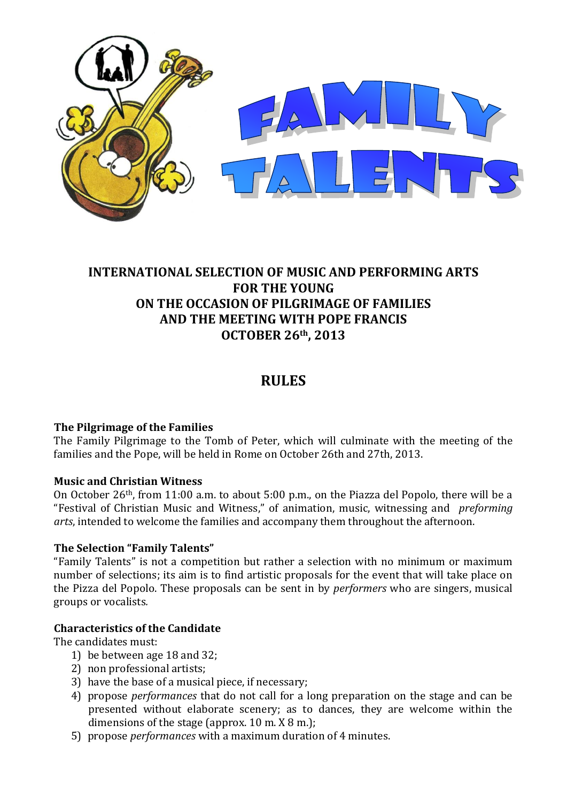

# **INTERNATIONAL SELECTION OF MUSIC AND PERFORMING ARTS FOR THE YOUNG ON THE OCCASION OF PILGRIMAGE OF FAMILIES AND THE MEETING WITH POPE FRANCIS OCTOBER 26th, 2013**

# **RULES**

# **The Pilgrimage of the Families**

The Family Pilgrimage to the Tomb of Peter, which will culminate with the meeting of the families and the Pope, will be held in Rome on October 26th and 27th, 2013.

# **Music and Christian Witness**

On October 26th, from 11:00 a.m. to about 5:00 p.m., on the Piazza del Popolo, there will be a "Festival of Christian Music and Witness," of animation, music, witnessing and *preforming arts*, intended to welcome the families and accompany them throughout the afternoon.

# **The Selection "Family Talents"**

"Family Talents" is not a competition but rather a selection with no minimum or maximum number of selections; its aim is to find artistic proposals for the event that will take place on the Pizza del Popolo. These proposals can be sent in by *performers* who are singers, musical groups or vocalists*.*

# **Characteristics of the Candidate**

The candidates must:

- 1) be between age 18 and 32;
- 2) non professional artists;
- 3) have the base of a musical piece, if necessary;
- 4) propose *performances* that do not call for a long preparation on the stage and can be presented without elaborate scenery; as to dances, they are welcome within the dimensions of the stage (approx. 10 m. X 8 m.);
- 5) propose *performances* with a maximum duration of 4 minutes.